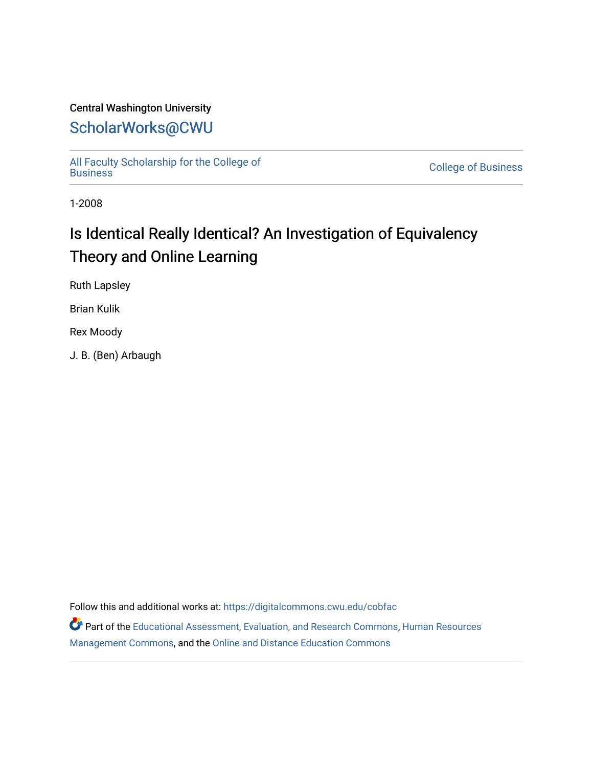## Central Washington University

## [ScholarWorks@CWU](https://digitalcommons.cwu.edu/)

[All Faculty Scholarship for the College of](https://digitalcommons.cwu.edu/cobfac) 

**College of [Business](https://digitalcommons.cwu.edu/cobfac)** 

1-2008

# Is Identical Really Identical? An Investigation of Equivalency Theory and Online Learning

Ruth Lapsley

Brian Kulik

Rex Moody

J. B. (Ben) Arbaugh

Follow this and additional works at: [https://digitalcommons.cwu.edu/cobfac](https://digitalcommons.cwu.edu/cobfac?utm_source=digitalcommons.cwu.edu%2Fcobfac%2F443&utm_medium=PDF&utm_campaign=PDFCoverPages) 

Part of the [Educational Assessment, Evaluation, and Research Commons](http://network.bepress.com/hgg/discipline/796?utm_source=digitalcommons.cwu.edu%2Fcobfac%2F443&utm_medium=PDF&utm_campaign=PDFCoverPages), [Human Resources](http://network.bepress.com/hgg/discipline/633?utm_source=digitalcommons.cwu.edu%2Fcobfac%2F443&utm_medium=PDF&utm_campaign=PDFCoverPages) [Management Commons](http://network.bepress.com/hgg/discipline/633?utm_source=digitalcommons.cwu.edu%2Fcobfac%2F443&utm_medium=PDF&utm_campaign=PDFCoverPages), and the [Online and Distance Education Commons](http://network.bepress.com/hgg/discipline/1296?utm_source=digitalcommons.cwu.edu%2Fcobfac%2F443&utm_medium=PDF&utm_campaign=PDFCoverPages)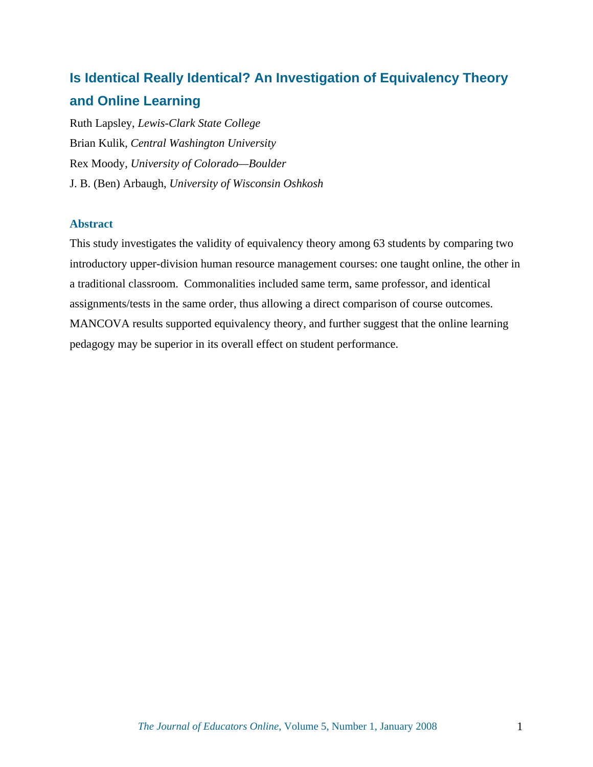## **Is Identical Really Identical? An Investigation of Equivalency Theory and Online Learning**

Ruth Lapsley, *Lewis-Clark State College* Brian Kulik, *Central Washington University* Rex Moody, *University of Colorado—Boulder* J. B. (Ben) Arbaugh, *University of Wisconsin Oshkosh*

### **Abstract**

This study investigates the validity of equivalency theory among 63 students by comparing two introductory upper-division human resource management courses: one taught online, the other in a traditional classroom. Commonalities included same term, same professor, and identical assignments/tests in the same order, thus allowing a direct comparison of course outcomes. MANCOVA results supported equivalency theory, and further suggest that the online learning pedagogy may be superior in its overall effect on student performance.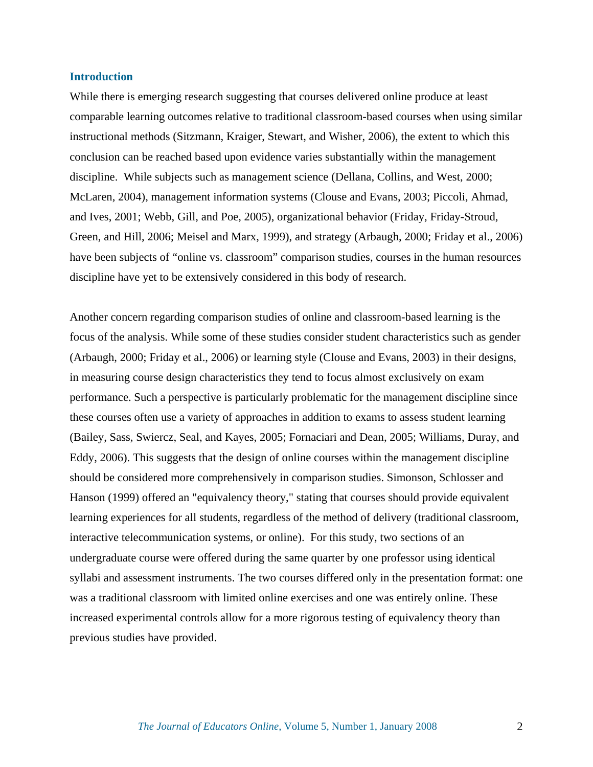#### **Introduction**

While there is emerging research suggesting that courses delivered online produce at least comparable learning outcomes relative to traditional classroom-based courses when using similar instructional methods (Sitzmann, Kraiger, Stewart, and Wisher, 2006), the extent to which this conclusion can be reached based upon evidence varies substantially within the management discipline. While subjects such as management science (Dellana, Collins, and West, 2000; McLaren, 2004), management information systems (Clouse and Evans, 2003; Piccoli, Ahmad, and Ives, 2001; Webb, Gill, and Poe, 2005), organizational behavior (Friday, Friday-Stroud, Green, and Hill, 2006; Meisel and Marx, 1999), and strategy (Arbaugh, 2000; Friday et al., 2006) have been subjects of "online vs. classroom" comparison studies, courses in the human resources discipline have yet to be extensively considered in this body of research.

Another concern regarding comparison studies of online and classroom-based learning is the focus of the analysis. While some of these studies consider student characteristics such as gender (Arbaugh, 2000; Friday et al., 2006) or learning style (Clouse and Evans, 2003) in their designs, in measuring course design characteristics they tend to focus almost exclusively on exam performance. Such a perspective is particularly problematic for the management discipline since these courses often use a variety of approaches in addition to exams to assess student learning (Bailey, Sass, Swiercz, Seal, and Kayes, 2005; Fornaciari and Dean, 2005; Williams, Duray, and Eddy, 2006). This suggests that the design of online courses within the management discipline should be considered more comprehensively in comparison studies. Simonson, Schlosser and Hanson (1999) offered an "equivalency theory," stating that courses should provide equivalent learning experiences for all students, regardless of the method of delivery (traditional classroom, interactive telecommunication systems, or online). For this study, two sections of an undergraduate course were offered during the same quarter by one professor using identical syllabi and assessment instruments. The two courses differed only in the presentation format: one was a traditional classroom with limited online exercises and one was entirely online. These increased experimental controls allow for a more rigorous testing of equivalency theory than previous studies have provided.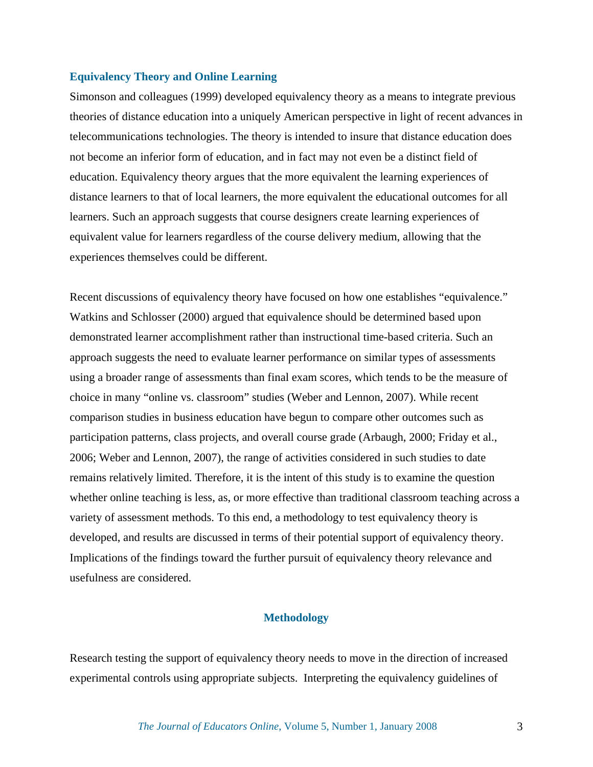#### **Equivalency Theory and Online Learning**

Simonson and colleagues (1999) developed equivalency theory as a means to integrate previous theories of distance education into a uniquely American perspective in light of recent advances in telecommunications technologies. The theory is intended to insure that distance education does not become an inferior form of education, and in fact may not even be a distinct field of education. Equivalency theory argues that the more equivalent the learning experiences of distance learners to that of local learners, the more equivalent the educational outcomes for all learners. Such an approach suggests that course designers create learning experiences of equivalent value for learners regardless of the course delivery medium, allowing that the experiences themselves could be different.

Recent discussions of equivalency theory have focused on how one establishes "equivalence." Watkins and Schlosser (2000) argued that equivalence should be determined based upon demonstrated learner accomplishment rather than instructional time-based criteria. Such an approach suggests the need to evaluate learner performance on similar types of assessments using a broader range of assessments than final exam scores, which tends to be the measure of choice in many "online vs. classroom" studies (Weber and Lennon, 2007). While recent comparison studies in business education have begun to compare other outcomes such as participation patterns, class projects, and overall course grade (Arbaugh, 2000; Friday et al., 2006; Weber and Lennon, 2007), the range of activities considered in such studies to date remains relatively limited. Therefore, it is the intent of this study is to examine the question whether online teaching is less, as, or more effective than traditional classroom teaching across a variety of assessment methods. To this end, a methodology to test equivalency theory is developed, and results are discussed in terms of their potential support of equivalency theory. Implications of the findings toward the further pursuit of equivalency theory relevance and usefulness are considered.

#### **Methodology**

Research testing the support of equivalency theory needs to move in the direction of increased experimental controls using appropriate subjects. Interpreting the equivalency guidelines of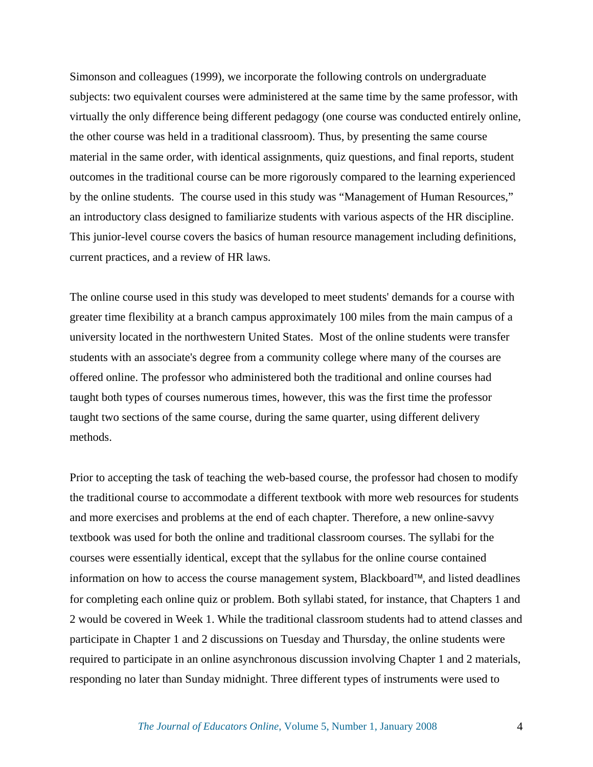Simonson and colleagues (1999), we incorporate the following controls on undergraduate subjects: two equivalent courses were administered at the same time by the same professor, with virtually the only difference being different pedagogy (one course was conducted entirely online, the other course was held in a traditional classroom). Thus, by presenting the same course material in the same order, with identical assignments, quiz questions, and final reports, student outcomes in the traditional course can be more rigorously compared to the learning experienced by the online students. The course used in this study was "Management of Human Resources," an introductory class designed to familiarize students with various aspects of the HR discipline. This junior-level course covers the basics of human resource management including definitions, current practices, and a review of HR laws.

The online course used in this study was developed to meet students' demands for a course with greater time flexibility at a branch campus approximately 100 miles from the main campus of a university located in the northwestern United States. Most of the online students were transfer students with an associate's degree from a community college where many of the courses are offered online. The professor who administered both the traditional and online courses had taught both types of courses numerous times, however, this was the first time the professor taught two sections of the same course, during the same quarter, using different delivery methods.

Prior to accepting the task of teaching the web-based course, the professor had chosen to modify the traditional course to accommodate a different textbook with more web resources for students and more exercises and problems at the end of each chapter. Therefore, a new online-savvy textbook was used for both the online and traditional classroom courses. The syllabi for the courses were essentially identical, except that the syllabus for the online course contained information on how to access the course management system, Blackboard™, and listed deadlines for completing each online quiz or problem. Both syllabi stated, for instance, that Chapters 1 and 2 would be covered in Week 1. While the traditional classroom students had to attend classes and participate in Chapter 1 and 2 discussions on Tuesday and Thursday, the online students were required to participate in an online asynchronous discussion involving Chapter 1 and 2 materials, responding no later than Sunday midnight. Three different types of instruments were used to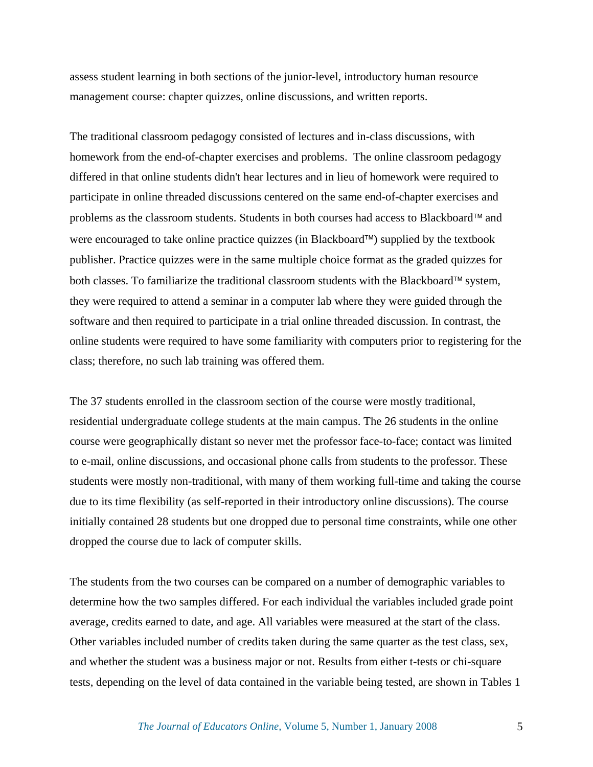assess student learning in both sections of the junior-level, introductory human resource management course: chapter quizzes, online discussions, and written reports.

The traditional classroom pedagogy consisted of lectures and in-class discussions, with homework from the end-of-chapter exercises and problems. The online classroom pedagogy differed in that online students didn't hear lectures and in lieu of homework were required to participate in online threaded discussions centered on the same end-of-chapter exercises and problems as the classroom students. Students in both courses had access to Blackboard™ and were encouraged to take online practice quizzes (in Blackboard™) supplied by the textbook publisher. Practice quizzes were in the same multiple choice format as the graded quizzes for both classes. To familiarize the traditional classroom students with the Blackboard™ system, they were required to attend a seminar in a computer lab where they were guided through the software and then required to participate in a trial online threaded discussion. In contrast, the online students were required to have some familiarity with computers prior to registering for the class; therefore, no such lab training was offered them.

The 37 students enrolled in the classroom section of the course were mostly traditional, residential undergraduate college students at the main campus. The 26 students in the online course were geographically distant so never met the professor face-to-face; contact was limited to e-mail, online discussions, and occasional phone calls from students to the professor. These students were mostly non-traditional, with many of them working full-time and taking the course due to its time flexibility (as self-reported in their introductory online discussions). The course initially contained 28 students but one dropped due to personal time constraints, while one other dropped the course due to lack of computer skills.

The students from the two courses can be compared on a number of demographic variables to determine how the two samples differed. For each individual the variables included grade point average, credits earned to date, and age. All variables were measured at the start of the class. Other variables included number of credits taken during the same quarter as the test class, sex, and whether the student was a business major or not. Results from either t-tests or chi-square tests, depending on the level of data contained in the variable being tested, are shown in Tables 1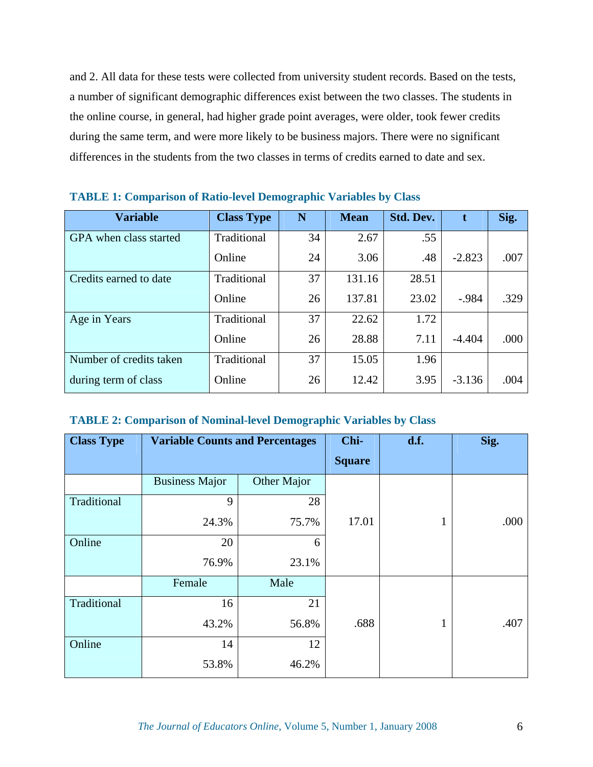and 2. All data for these tests were collected from university student records. Based on the tests, a number of significant demographic differences exist between the two classes. The students in the online course, in general, had higher grade point averages, were older, took fewer credits during the same term, and were more likely to be business majors. There were no significant differences in the students from the two classes in terms of credits earned to date and sex.

| <b>Variable</b>         | <b>Class Type</b> | N  | <b>Mean</b> | Std. Dev. | t        | Sig. |
|-------------------------|-------------------|----|-------------|-----------|----------|------|
| GPA when class started  | Traditional       | 34 | 2.67        | .55       |          |      |
|                         | Online            | 24 | 3.06        | .48       | $-2.823$ | .007 |
| Credits earned to date  | Traditional       | 37 | 131.16      | 28.51     |          |      |
|                         | Online            | 26 | 137.81      | 23.02     | $-.984$  | .329 |
| Age in Years            | Traditional       | 37 | 22.62       | 1.72      |          |      |
|                         | Online            | 26 | 28.88       | 7.11      | $-4.404$ | .000 |
| Number of credits taken | Traditional       | 37 | 15.05       | 1.96      |          |      |
| during term of class    | Online            | 26 | 12.42       | 3.95      | $-3.136$ | .004 |

#### **TABLE 1: Comparison of Ratio-level Demographic Variables by Class**

#### **TABLE 2: Comparison of Nominal-level Demographic Variables by Class**

| <b>Class Type</b> | <b>Variable Counts and Percentages</b> |             | Chi-          | d.f. | Sig. |
|-------------------|----------------------------------------|-------------|---------------|------|------|
|                   |                                        |             | <b>Square</b> |      |      |
|                   | <b>Business Major</b>                  | Other Major |               |      |      |
| Traditional       | 9                                      | 28          |               |      |      |
|                   | 24.3%                                  | 75.7%       | 17.01         | 1    | .000 |
| Online            | 20                                     | 6           |               |      |      |
|                   | 76.9%                                  | 23.1%       |               |      |      |
|                   | Female                                 | Male        |               |      |      |
| Traditional       | 16                                     | 21          |               |      |      |
|                   | 43.2%                                  | 56.8%       | .688          | 1    | .407 |
| Online            | 14                                     | 12          |               |      |      |
|                   | 53.8%                                  | 46.2%       |               |      |      |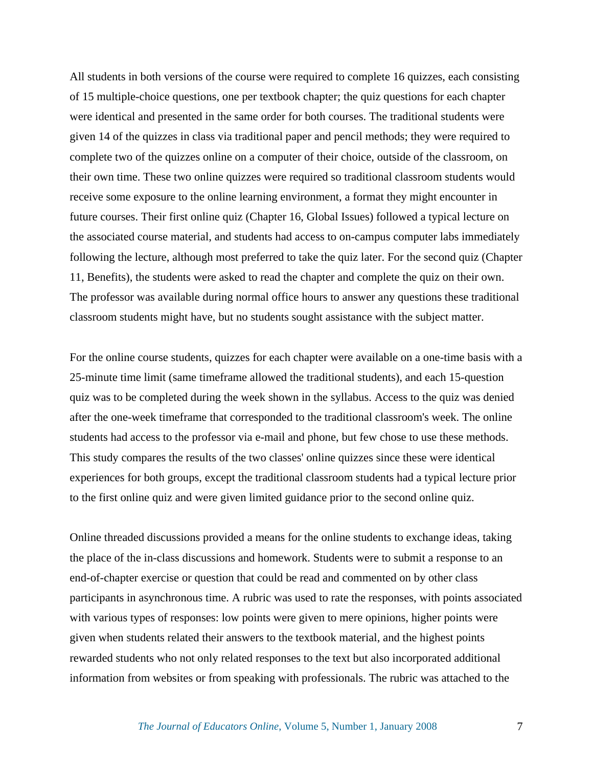All students in both versions of the course were required to complete 16 quizzes, each consisting of 15 multiple-choice questions, one per textbook chapter; the quiz questions for each chapter were identical and presented in the same order for both courses. The traditional students were given 14 of the quizzes in class via traditional paper and pencil methods; they were required to complete two of the quizzes online on a computer of their choice, outside of the classroom, on their own time. These two online quizzes were required so traditional classroom students would receive some exposure to the online learning environment, a format they might encounter in future courses. Their first online quiz (Chapter 16, Global Issues) followed a typical lecture on the associated course material, and students had access to on-campus computer labs immediately following the lecture, although most preferred to take the quiz later. For the second quiz (Chapter 11, Benefits), the students were asked to read the chapter and complete the quiz on their own. The professor was available during normal office hours to answer any questions these traditional classroom students might have, but no students sought assistance with the subject matter.

For the online course students, quizzes for each chapter were available on a one-time basis with a 25-minute time limit (same timeframe allowed the traditional students), and each 15-question quiz was to be completed during the week shown in the syllabus. Access to the quiz was denied after the one-week timeframe that corresponded to the traditional classroom's week. The online students had access to the professor via e-mail and phone, but few chose to use these methods. This study compares the results of the two classes' online quizzes since these were identical experiences for both groups, except the traditional classroom students had a typical lecture prior to the first online quiz and were given limited guidance prior to the second online quiz.

Online threaded discussions provided a means for the online students to exchange ideas, taking the place of the in-class discussions and homework. Students were to submit a response to an end-of-chapter exercise or question that could be read and commented on by other class participants in asynchronous time. A rubric was used to rate the responses, with points associated with various types of responses: low points were given to mere opinions, higher points were given when students related their answers to the textbook material, and the highest points rewarded students who not only related responses to the text but also incorporated additional information from websites or from speaking with professionals. The rubric was attached to the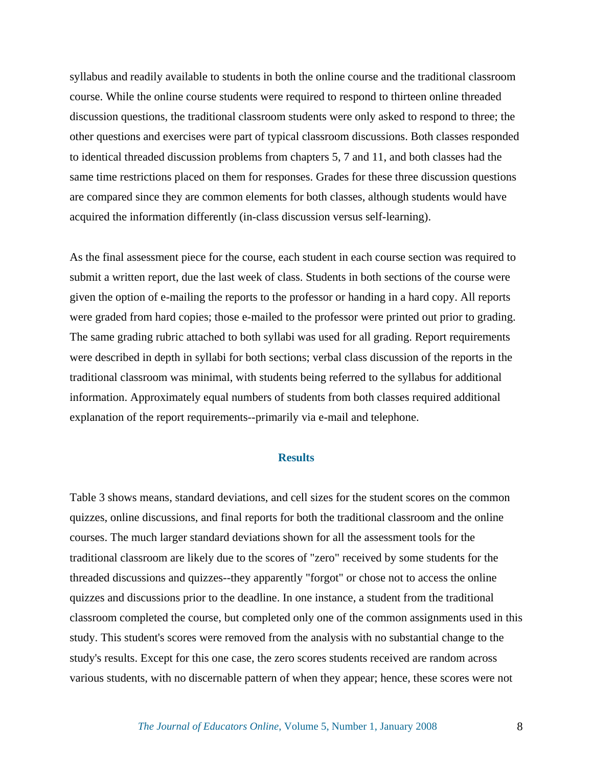syllabus and readily available to students in both the online course and the traditional classroom course. While the online course students were required to respond to thirteen online threaded discussion questions, the traditional classroom students were only asked to respond to three; the other questions and exercises were part of typical classroom discussions. Both classes responded to identical threaded discussion problems from chapters 5, 7 and 11, and both classes had the same time restrictions placed on them for responses. Grades for these three discussion questions are compared since they are common elements for both classes, although students would have acquired the information differently (in-class discussion versus self-learning).

As the final assessment piece for the course, each student in each course section was required to submit a written report, due the last week of class. Students in both sections of the course were given the option of e-mailing the reports to the professor or handing in a hard copy. All reports were graded from hard copies; those e-mailed to the professor were printed out prior to grading. The same grading rubric attached to both syllabi was used for all grading. Report requirements were described in depth in syllabi for both sections; verbal class discussion of the reports in the traditional classroom was minimal, with students being referred to the syllabus for additional information. Approximately equal numbers of students from both classes required additional explanation of the report requirements--primarily via e-mail and telephone.

#### **Results**

Table 3 shows means, standard deviations, and cell sizes for the student scores on the common quizzes, online discussions, and final reports for both the traditional classroom and the online courses. The much larger standard deviations shown for all the assessment tools for the traditional classroom are likely due to the scores of "zero" received by some students for the threaded discussions and quizzes--they apparently "forgot" or chose not to access the online quizzes and discussions prior to the deadline. In one instance, a student from the traditional classroom completed the course, but completed only one of the common assignments used in this study. This student's scores were removed from the analysis with no substantial change to the study's results. Except for this one case, the zero scores students received are random across various students, with no discernable pattern of when they appear; hence, these scores were not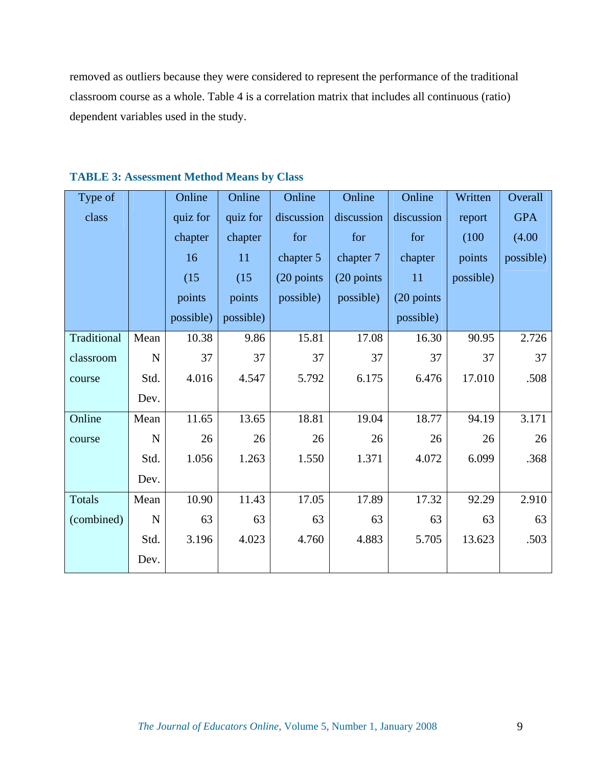removed as outliers because they were considered to represent the performance of the traditional classroom course as a whole. Table 4 is a correlation matrix that includes all continuous (ratio) dependent variables used in the study.

| Type of       |             | Online    | Online    | Online       | Online      | Online      | Written   | Overall    |
|---------------|-------------|-----------|-----------|--------------|-------------|-------------|-----------|------------|
| class         |             | quiz for  | quiz for  | discussion   | discussion  | discussion  | report    | <b>GPA</b> |
|               |             | chapter   | chapter   | for          | for         | for         | (100)     | (4.00)     |
|               |             | 16        | 11        | chapter 5    | chapter 7   | chapter     | points    | possible)  |
|               |             | (15)      | (15)      | $(20$ points | (20 points) | 11          | possible) |            |
|               |             | points    | points    | possible)    | possible)   | (20 points) |           |            |
|               |             | possible) | possible) |              |             | possible)   |           |            |
| Traditional   | Mean        | 10.38     | 9.86      | 15.81        | 17.08       | 16.30       | 90.95     | 2.726      |
| classroom     | $\mathbf N$ | 37        | 37        | 37           | 37          | 37          | 37        | 37         |
| course        | Std.        | 4.016     | 4.547     | 5.792        | 6.175       | 6.476       | 17.010    | .508       |
|               | Dev.        |           |           |              |             |             |           |            |
| Online        | Mean        | 11.65     | 13.65     | 18.81        | 19.04       | 18.77       | 94.19     | 3.171      |
| course        | ${\bf N}$   | 26        | 26        | 26           | 26          | 26          | 26        | 26         |
|               | Std.        | 1.056     | 1.263     | 1.550        | 1.371       | 4.072       | 6.099     | .368       |
|               | Dev.        |           |           |              |             |             |           |            |
| <b>Totals</b> | Mean        | 10.90     | 11.43     | 17.05        | 17.89       | 17.32       | 92.29     | 2.910      |
| (combined)    | $\mathbf N$ | 63        | 63        | 63           | 63          | 63          | 63        | 63         |
|               | Std.        | 3.196     | 4.023     | 4.760        | 4.883       | 5.705       | 13.623    | .503       |
|               | Dev.        |           |           |              |             |             |           |            |

**TABLE 3: Assessment Method Means by Class**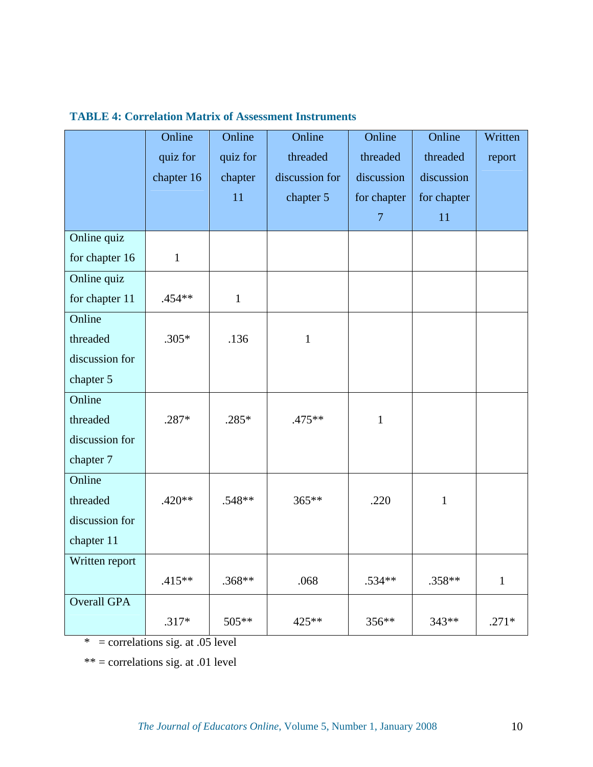|                    | Online       | Online       | Online         | Online         | Online       | Written      |
|--------------------|--------------|--------------|----------------|----------------|--------------|--------------|
|                    | quiz for     | quiz for     | threaded       | threaded       | threaded     | report       |
|                    | chapter 16   | chapter      | discussion for | discussion     | discussion   |              |
|                    |              | 11           | chapter 5      | for chapter    | for chapter  |              |
|                    |              |              |                | $\overline{7}$ | 11           |              |
| Online quiz        |              |              |                |                |              |              |
| for chapter 16     | $\mathbf{1}$ |              |                |                |              |              |
| Online quiz        |              |              |                |                |              |              |
| for chapter 11     | .454**       | $\mathbf{1}$ |                |                |              |              |
| Online             |              |              |                |                |              |              |
| threaded           | $.305*$      | .136         | $\mathbf{1}$   |                |              |              |
| discussion for     |              |              |                |                |              |              |
| chapter 5          |              |              |                |                |              |              |
| Online             |              |              |                |                |              |              |
| threaded           | .287*        | $.285*$      | .475**         | $\mathbf{1}$   |              |              |
| discussion for     |              |              |                |                |              |              |
| chapter 7          |              |              |                |                |              |              |
| Online             |              |              |                |                |              |              |
| threaded           | $.420**$     | .548**       | 365**          | .220           | $\mathbf{1}$ |              |
| discussion for     |              |              |                |                |              |              |
| chapter 11         |              |              |                |                |              |              |
| Written report     |              |              |                |                |              |              |
|                    | $.415**$     | .368**       | .068           | .534**         | .358**       | $\mathbf{1}$ |
| <b>Overall GPA</b> |              |              |                |                |              |              |
|                    | $.317*$      | 505**        | 425**          | 356**          | 343**        | $.271*$      |

## **TABLE 4: Correlation Matrix of Assessment Instruments**

 $*$  = correlations sig. at .05 level

\*\* = correlations sig. at .01 level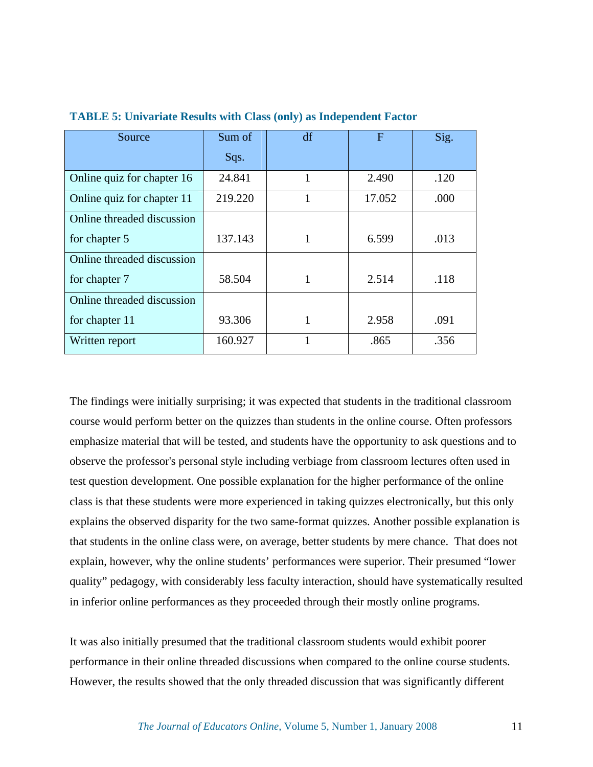| Source                     | Sum of  | df | F      | Sig. |
|----------------------------|---------|----|--------|------|
|                            | Sqs.    |    |        |      |
| Online quiz for chapter 16 | 24.841  | 1  | 2.490  | .120 |
| Online quiz for chapter 11 | 219.220 | 1  | 17.052 | .000 |
| Online threaded discussion |         |    |        |      |
| for chapter 5              | 137.143 | 1  | 6.599  | .013 |
| Online threaded discussion |         |    |        |      |
| for chapter 7              | 58.504  | 1  | 2.514  | .118 |
| Online threaded discussion |         |    |        |      |
| for chapter 11             | 93.306  | 1  | 2.958  | .091 |
| Written report             | 160.927 |    | .865   | .356 |

**TABLE 5: Univariate Results with Class (only) as Independent Factor** 

The findings were initially surprising; it was expected that students in the traditional classroom course would perform better on the quizzes than students in the online course. Often professors emphasize material that will be tested, and students have the opportunity to ask questions and to observe the professor's personal style including verbiage from classroom lectures often used in test question development. One possible explanation for the higher performance of the online class is that these students were more experienced in taking quizzes electronically, but this only explains the observed disparity for the two same-format quizzes. Another possible explanation is that students in the online class were, on average, better students by mere chance. That does not explain, however, why the online students' performances were superior. Their presumed "lower quality" pedagogy, with considerably less faculty interaction, should have systematically resulted in inferior online performances as they proceeded through their mostly online programs.

It was also initially presumed that the traditional classroom students would exhibit poorer performance in their online threaded discussions when compared to the online course students. However, the results showed that the only threaded discussion that was significantly different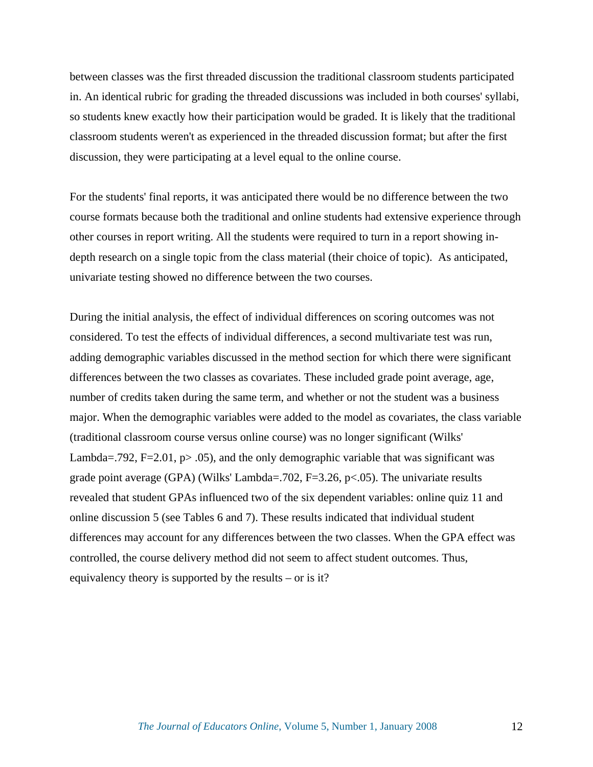between classes was the first threaded discussion the traditional classroom students participated in. An identical rubric for grading the threaded discussions was included in both courses' syllabi, so students knew exactly how their participation would be graded. It is likely that the traditional classroom students weren't as experienced in the threaded discussion format; but after the first discussion, they were participating at a level equal to the online course.

For the students' final reports, it was anticipated there would be no difference between the two course formats because both the traditional and online students had extensive experience through other courses in report writing. All the students were required to turn in a report showing indepth research on a single topic from the class material (their choice of topic). As anticipated, univariate testing showed no difference between the two courses.

During the initial analysis, the effect of individual differences on scoring outcomes was not considered. To test the effects of individual differences, a second multivariate test was run, adding demographic variables discussed in the method section for which there were significant differences between the two classes as covariates. These included grade point average, age, number of credits taken during the same term, and whether or not the student was a business major. When the demographic variables were added to the model as covariates, the class variable (traditional classroom course versus online course) was no longer significant (Wilks' Lambda=.792, F=2.01,  $p > .05$ ), and the only demographic variable that was significant was grade point average (GPA) (Wilks' Lambda=.702, F=3.26, p<.05). The univariate results revealed that student GPAs influenced two of the six dependent variables: online quiz 11 and online discussion 5 (see Tables 6 and 7). These results indicated that individual student differences may account for any differences between the two classes. When the GPA effect was controlled, the course delivery method did not seem to affect student outcomes. Thus, equivalency theory is supported by the results – or is it?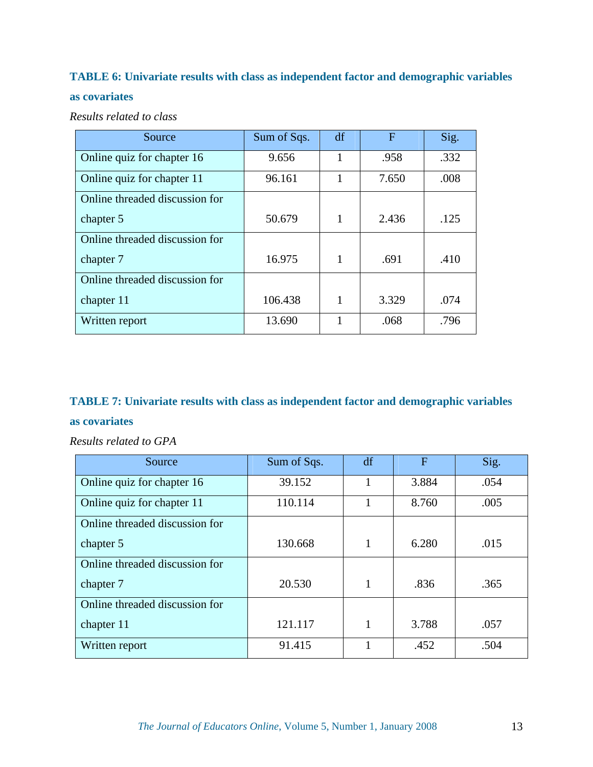## **TABLE 6: Univariate results with class as independent factor and demographic variables**

## **as covariates**

*Results related to class* 

| Source                         | Sum of Sqs. | df | F     | Sig. |
|--------------------------------|-------------|----|-------|------|
| Online quiz for chapter 16     | 9.656       |    | .958  | .332 |
| Online quiz for chapter 11     | 96.161      |    | 7.650 | .008 |
| Online threaded discussion for |             |    |       |      |
| chapter 5                      | 50.679      | 1  | 2.436 | .125 |
| Online threaded discussion for |             |    |       |      |
| chapter 7                      | 16.975      | 1  | .691  | .410 |
| Online threaded discussion for |             |    |       |      |
| chapter 11                     | 106.438     |    | 3.329 | .074 |
| Written report                 | 13.690      |    | .068  | .796 |

## **TABLE 7: Univariate results with class as independent factor and demographic variables**

#### **as covariates**

*Results related to GPA*

| Source                         | Sum of Sqs. | df           | F     | Sig. |
|--------------------------------|-------------|--------------|-------|------|
| Online quiz for chapter 16     | 39.152      |              | 3.884 | .054 |
| Online quiz for chapter 11     | 110.114     |              | 8.760 | .005 |
| Online threaded discussion for |             |              |       |      |
| chapter 5                      | 130.668     | 1            | 6.280 | .015 |
| Online threaded discussion for |             |              |       |      |
| chapter 7                      | 20.530      | 1            | .836  | .365 |
| Online threaded discussion for |             |              |       |      |
| chapter 11                     | 121.117     | $\mathbf{1}$ | 3.788 | .057 |
| Written report                 | 91.415      |              | .452  | .504 |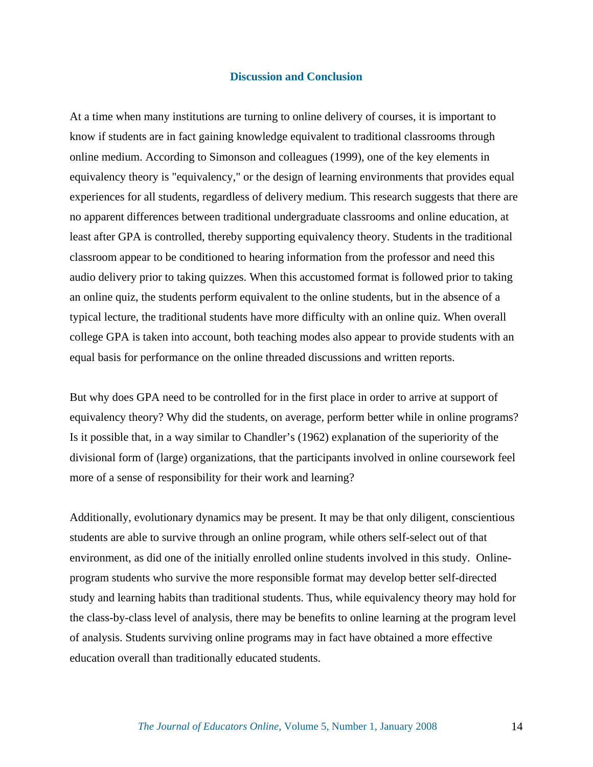#### **Discussion and Conclusion**

At a time when many institutions are turning to online delivery of courses, it is important to know if students are in fact gaining knowledge equivalent to traditional classrooms through online medium. According to Simonson and colleagues (1999), one of the key elements in equivalency theory is "equivalency," or the design of learning environments that provides equal experiences for all students, regardless of delivery medium. This research suggests that there are no apparent differences between traditional undergraduate classrooms and online education, at least after GPA is controlled, thereby supporting equivalency theory. Students in the traditional classroom appear to be conditioned to hearing information from the professor and need this audio delivery prior to taking quizzes. When this accustomed format is followed prior to taking an online quiz, the students perform equivalent to the online students, but in the absence of a typical lecture, the traditional students have more difficulty with an online quiz. When overall college GPA is taken into account, both teaching modes also appear to provide students with an equal basis for performance on the online threaded discussions and written reports.

But why does GPA need to be controlled for in the first place in order to arrive at support of equivalency theory? Why did the students, on average, perform better while in online programs? Is it possible that, in a way similar to Chandler's (1962) explanation of the superiority of the divisional form of (large) organizations, that the participants involved in online coursework feel more of a sense of responsibility for their work and learning?

Additionally, evolutionary dynamics may be present. It may be that only diligent, conscientious students are able to survive through an online program, while others self-select out of that environment, as did one of the initially enrolled online students involved in this study. Onlineprogram students who survive the more responsible format may develop better self-directed study and learning habits than traditional students. Thus, while equivalency theory may hold for the class-by-class level of analysis, there may be benefits to online learning at the program level of analysis. Students surviving online programs may in fact have obtained a more effective education overall than traditionally educated students.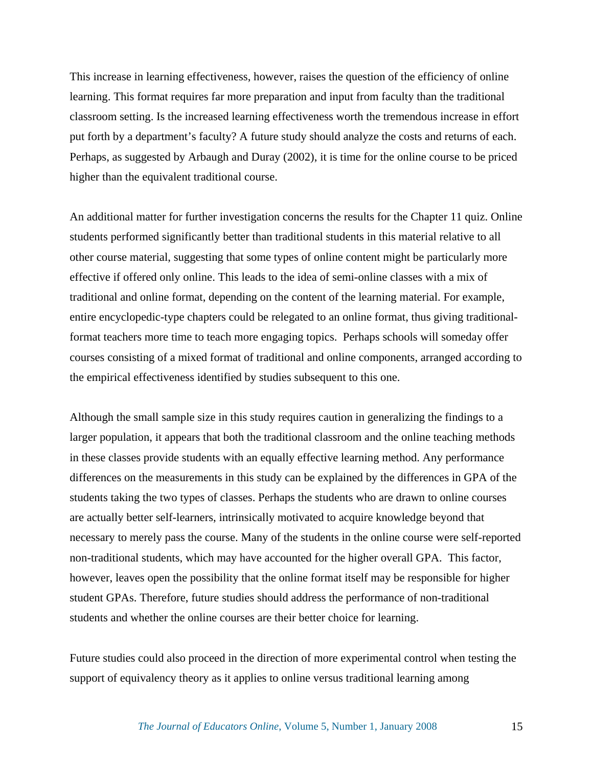This increase in learning effectiveness, however, raises the question of the efficiency of online learning. This format requires far more preparation and input from faculty than the traditional classroom setting. Is the increased learning effectiveness worth the tremendous increase in effort put forth by a department's faculty? A future study should analyze the costs and returns of each. Perhaps, as suggested by Arbaugh and Duray (2002), it is time for the online course to be priced higher than the equivalent traditional course.

An additional matter for further investigation concerns the results for the Chapter 11 quiz. Online students performed significantly better than traditional students in this material relative to all other course material, suggesting that some types of online content might be particularly more effective if offered only online. This leads to the idea of semi-online classes with a mix of traditional and online format, depending on the content of the learning material. For example, entire encyclopedic-type chapters could be relegated to an online format, thus giving traditionalformat teachers more time to teach more engaging topics. Perhaps schools will someday offer courses consisting of a mixed format of traditional and online components, arranged according to the empirical effectiveness identified by studies subsequent to this one.

Although the small sample size in this study requires caution in generalizing the findings to a larger population, it appears that both the traditional classroom and the online teaching methods in these classes provide students with an equally effective learning method. Any performance differences on the measurements in this study can be explained by the differences in GPA of the students taking the two types of classes. Perhaps the students who are drawn to online courses are actually better self-learners, intrinsically motivated to acquire knowledge beyond that necessary to merely pass the course. Many of the students in the online course were self-reported non-traditional students, which may have accounted for the higher overall GPA. This factor, however, leaves open the possibility that the online format itself may be responsible for higher student GPAs. Therefore, future studies should address the performance of non-traditional students and whether the online courses are their better choice for learning.

Future studies could also proceed in the direction of more experimental control when testing the support of equivalency theory as it applies to online versus traditional learning among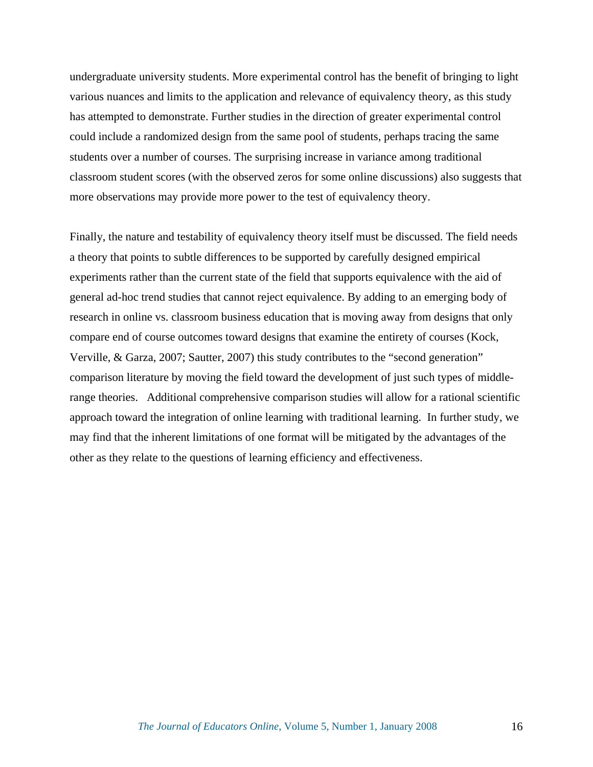undergraduate university students. More experimental control has the benefit of bringing to light various nuances and limits to the application and relevance of equivalency theory, as this study has attempted to demonstrate. Further studies in the direction of greater experimental control could include a randomized design from the same pool of students, perhaps tracing the same students over a number of courses. The surprising increase in variance among traditional classroom student scores (with the observed zeros for some online discussions) also suggests that more observations may provide more power to the test of equivalency theory.

Finally, the nature and testability of equivalency theory itself must be discussed. The field needs a theory that points to subtle differences to be supported by carefully designed empirical experiments rather than the current state of the field that supports equivalence with the aid of general ad-hoc trend studies that cannot reject equivalence. By adding to an emerging body of research in online vs. classroom business education that is moving away from designs that only compare end of course outcomes toward designs that examine the entirety of courses (Kock, Verville, & Garza, 2007; Sautter, 2007) this study contributes to the "second generation" comparison literature by moving the field toward the development of just such types of middlerange theories. Additional comprehensive comparison studies will allow for a rational scientific approach toward the integration of online learning with traditional learning. In further study, we may find that the inherent limitations of one format will be mitigated by the advantages of the other as they relate to the questions of learning efficiency and effectiveness.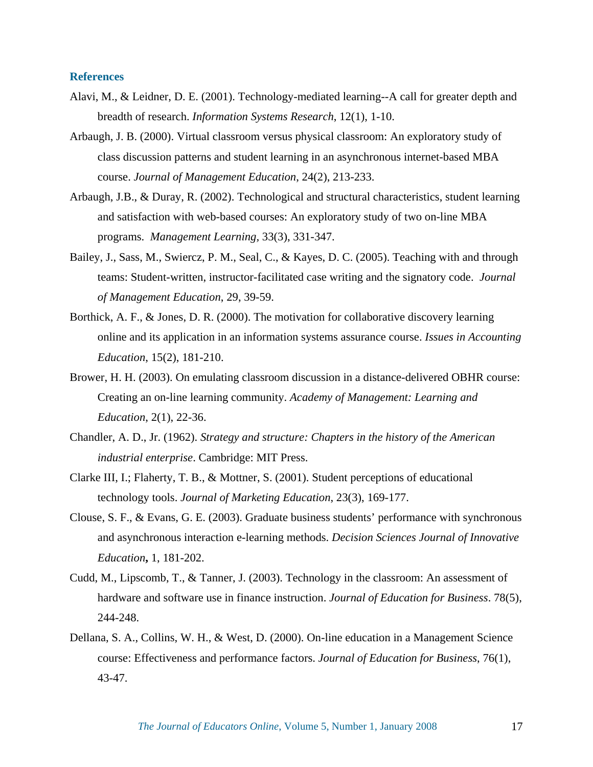#### **References**

- Alavi, M., & Leidner, D. E. (2001). Technology-mediated learning--A call for greater depth and breadth of research. *Information Systems Research*, 12(1), 1-10.
- Arbaugh, J. B. (2000). Virtual classroom versus physical classroom: An exploratory study of class discussion patterns and student learning in an asynchronous internet-based MBA course. *Journal of Management Education*, 24(2), 213-233.
- Arbaugh, J.B., & Duray, R. (2002). Technological and structural characteristics, student learning and satisfaction with web-based courses: An exploratory study of two on-line MBA programs. *Management Learning,* 33(3), 331-347.
- Bailey, J., Sass, M., Swiercz, P. M., Seal, C., & Kayes, D. C. (2005). Teaching with and through teams: Student-written, instructor-facilitated case writing and the signatory code. *Journal of Management Education*, 29, 39-59.
- Borthick, A. F., & Jones, D. R. (2000). The motivation for collaborative discovery learning online and its application in an information systems assurance course. *Issues in Accounting Education*, 15(2), 181-210.
- Brower, H. H. (2003). On emulating classroom discussion in a distance-delivered OBHR course: Creating an on-line learning community. *Academy of Management: Learning and Education*, 2(1), 22-36.
- Chandler, A. D., Jr. (1962). *Strategy and structure: Chapters in the history of the American industrial enterprise*. Cambridge: MIT Press.
- Clarke III, I.; Flaherty, T. B., & Mottner, S. (2001). Student perceptions of educational technology tools. *Journal of Marketing Education*, 23(3), 169-177.
- Clouse, S. F., & Evans, G. E. (2003). Graduate business students' performance with synchronous and asynchronous interaction e-learning methods. *Decision Sciences Journal of Innovative Education***,** 1, 181-202.
- Cudd, M., Lipscomb, T., & Tanner, J. (2003). Technology in the classroom: An assessment of hardware and software use in finance instruction. *Journal of Education for Business*. 78(5), 244-248.
- Dellana, S. A., Collins, W. H., & West, D. (2000). On-line education in a Management Science course: Effectiveness and performance factors. *Journal of Education for Business*, 76(1), 43-47.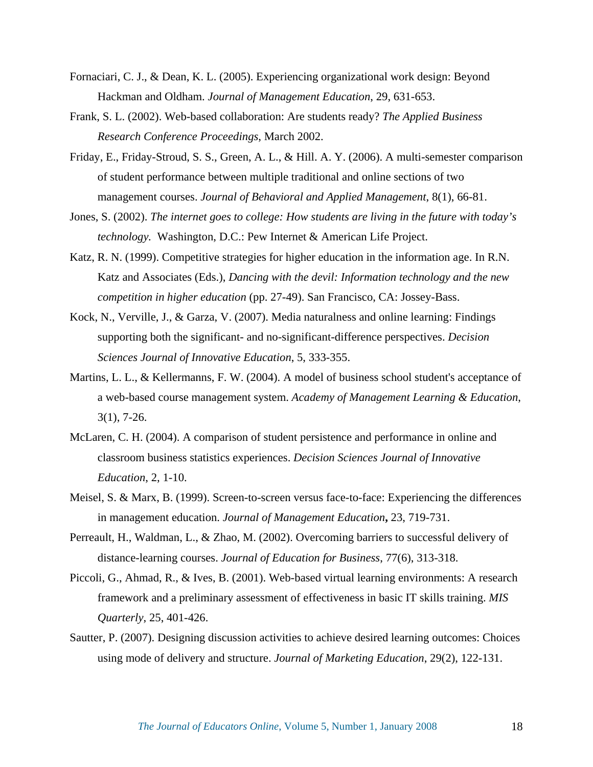- Fornaciari, C. J., & Dean, K. L. (2005). Experiencing organizational work design: Beyond Hackman and Oldham. *Journal of Management Education*, 29, 631-653.
- Frank, S. L. (2002). Web-based collaboration: Are students ready? *The Applied Business Research Conference Proceedings*, March 2002.
- Friday, E., Friday-Stroud, S. S., Green, A. L., & Hill. A. Y. (2006). A multi-semester comparison of student performance between multiple traditional and online sections of two management courses. *Journal of Behavioral and Applied Management*, 8(1), 66-81.
- Jones, S. (2002). *The internet goes to college: How students are living in the future with today's technology.* Washington, D.C.: Pew Internet & American Life Project.
- Katz, R. N. (1999). Competitive strategies for higher education in the information age. In R.N. Katz and Associates (Eds.), *Dancing with the devil: Information technology and the new competition in higher education* (pp. 27-49). San Francisco, CA: Jossey-Bass.
- Kock, N., Verville, J., & Garza, V. (2007). Media naturalness and online learning: Findings supporting both the significant- and no-significant-difference perspectives. *Decision Sciences Journal of Innovative Education*, 5, 333-355.
- Martins, L. L., & Kellermanns, F. W. (2004). A model of business school student's acceptance of a web-based course management system. *Academy of Management Learning & Education*, 3(1), 7-26.
- McLaren, C. H. (2004). A comparison of student persistence and performance in online and classroom business statistics experiences. *Decision Sciences Journal of Innovative Education*, 2, 1-10.
- Meisel, S. & Marx, B. (1999). Screen-to-screen versus face-to-face: Experiencing the differences in management education. *Journal of Management Education***,** 23, 719-731.
- Perreault, H., Waldman, L., & Zhao, M. (2002). Overcoming barriers to successful delivery of distance-learning courses. *Journal of Education for Business*, 77(6), 313-318.
- Piccoli, G., Ahmad, R., & Ives, B. (2001). Web-based virtual learning environments: A research framework and a preliminary assessment of effectiveness in basic IT skills training. *MIS Quarterly*, 25, 401-426.
- Sautter, P. (2007). Designing discussion activities to achieve desired learning outcomes: Choices using mode of delivery and structure. *Journal of Marketing Education*, 29(2), 122-131.